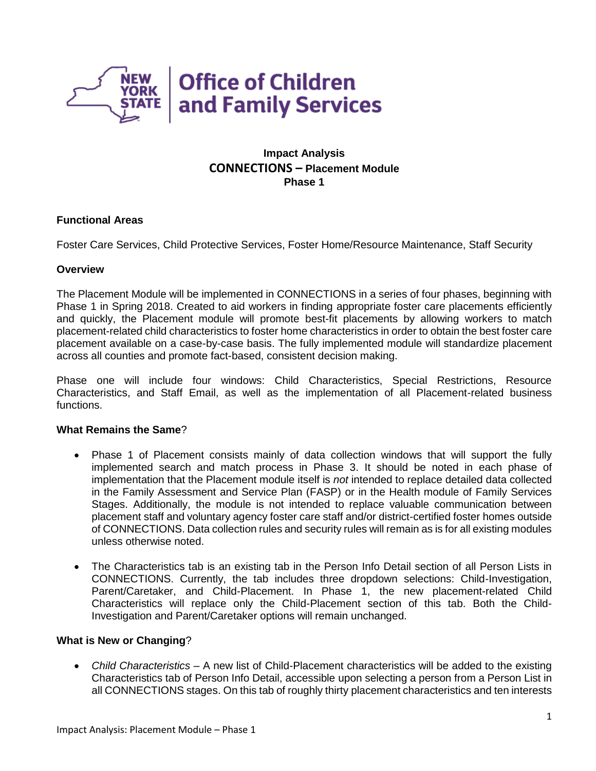

# **Impact Analysis CONNECTIONS – Placement Module Phase 1**

## **Functional Areas**

Foster Care Services, Child Protective Services, Foster Home/Resource Maintenance, Staff Security

### **Overview**

The Placement Module will be implemented in CONNECTIONS in a series of four phases, beginning with Phase 1 in Spring 2018. Created to aid workers in finding appropriate foster care placements efficiently and quickly, the Placement module will promote best-fit placements by allowing workers to match placement-related child characteristics to foster home characteristics in order to obtain the best foster care placement available on a case-by-case basis. The fully implemented module will standardize placement across all counties and promote fact-based, consistent decision making.

Phase one will include four windows: Child Characteristics, Special Restrictions, Resource Characteristics, and Staff Email, as well as the implementation of all Placement-related business functions.

### **What Remains the Same**?

- Phase 1 of Placement consists mainly of data collection windows that will support the fully implemented search and match process in Phase 3. It should be noted in each phase of implementation that the Placement module itself is *not* intended to replace detailed data collected in the Family Assessment and Service Plan (FASP) or in the Health module of Family Services Stages. Additionally, the module is not intended to replace valuable communication between placement staff and voluntary agency foster care staff and/or district-certified foster homes outside of CONNECTIONS. Data collection rules and security rules will remain as is for all existing modules unless otherwise noted.
- The Characteristics tab is an existing tab in the Person Info Detail section of all Person Lists in CONNECTIONS. Currently, the tab includes three dropdown selections: Child-Investigation, Parent/Caretaker, and Child-Placement. In Phase 1, the new placement-related Child Characteristics will replace only the Child-Placement section of this tab. Both the Child-Investigation and Parent/Caretaker options will remain unchanged.

### **What is New or Changing**?

 *Child Characteristics –* A new list of Child-Placement characteristics will be added to the existing Characteristics tab of Person Info Detail, accessible upon selecting a person from a Person List in all CONNECTIONS stages. On this tab of roughly thirty placement characteristics and ten interests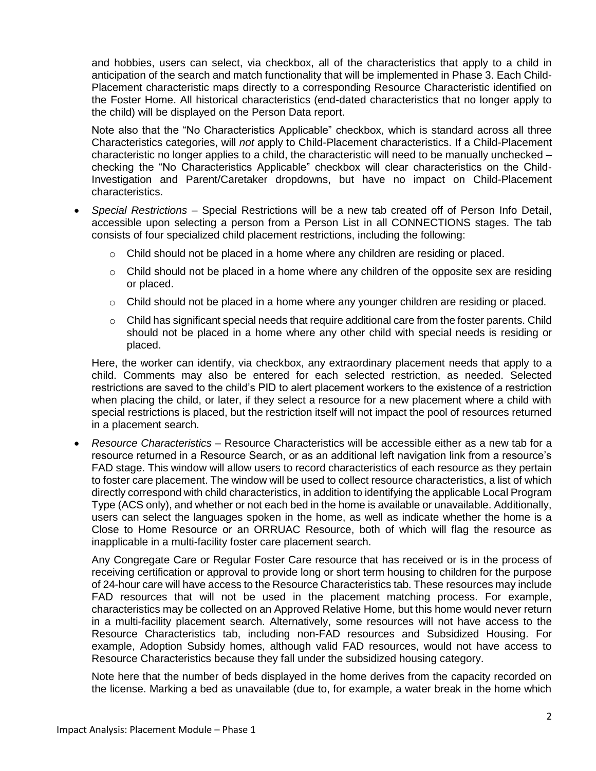and hobbies, users can select, via checkbox, all of the characteristics that apply to a child in anticipation of the search and match functionality that will be implemented in Phase 3. Each Child-Placement characteristic maps directly to a corresponding Resource Characteristic identified on the Foster Home. All historical characteristics (end-dated characteristics that no longer apply to the child) will be displayed on the Person Data report.

Note also that the "No Characteristics Applicable" checkbox, which is standard across all three Characteristics categories, will *not* apply to Child-Placement characteristics. If a Child-Placement characteristic no longer applies to a child, the characteristic will need to be manually unchecked – checking the "No Characteristics Applicable" checkbox will clear characteristics on the Child-Investigation and Parent/Caretaker dropdowns, but have no impact on Child-Placement characteristics.

- *Special Restrictions*  Special Restrictions will be a new tab created off of Person Info Detail, accessible upon selecting a person from a Person List in all CONNECTIONS stages. The tab consists of four specialized child placement restrictions, including the following:
	- $\circ$  Child should not be placed in a home where any children are residing or placed.
	- $\circ$  Child should not be placed in a home where any children of the opposite sex are residing or placed.
	- $\circ$  Child should not be placed in a home where any younger children are residing or placed.
	- $\circ$  Child has significant special needs that require additional care from the foster parents. Child should not be placed in a home where any other child with special needs is residing or placed.

Here, the worker can identify, via checkbox, any extraordinary placement needs that apply to a child. Comments may also be entered for each selected restriction, as needed. Selected restrictions are saved to the child's PID to alert placement workers to the existence of a restriction when placing the child, or later, if they select a resource for a new placement where a child with special restrictions is placed, but the restriction itself will not impact the pool of resources returned in a placement search.

 *Resource Characteristics* – Resource Characteristics will be accessible either as a new tab for a resource returned in a Resource Search, or as an additional left navigation link from a resource's FAD stage. This window will allow users to record characteristics of each resource as they pertain to foster care placement. The window will be used to collect resource characteristics, a list of which directly correspond with child characteristics, in addition to identifying the applicable Local Program Type (ACS only), and whether or not each bed in the home is available or unavailable. Additionally, users can select the languages spoken in the home, as well as indicate whether the home is a Close to Home Resource or an ORRUAC Resource, both of which will flag the resource as inapplicable in a multi-facility foster care placement search.

Any Congregate Care or Regular Foster Care resource that has received or is in the process of receiving certification or approval to provide long or short term housing to children for the purpose of 24-hour care will have access to the Resource Characteristics tab. These resources may include FAD resources that will not be used in the placement matching process. For example, characteristics may be collected on an Approved Relative Home, but this home would never return in a multi-facility placement search. Alternatively, some resources will not have access to the Resource Characteristics tab, including non-FAD resources and Subsidized Housing. For example, Adoption Subsidy homes, although valid FAD resources, would not have access to Resource Characteristics because they fall under the subsidized housing category.

Note here that the number of beds displayed in the home derives from the capacity recorded on the license. Marking a bed as unavailable (due to, for example, a water break in the home which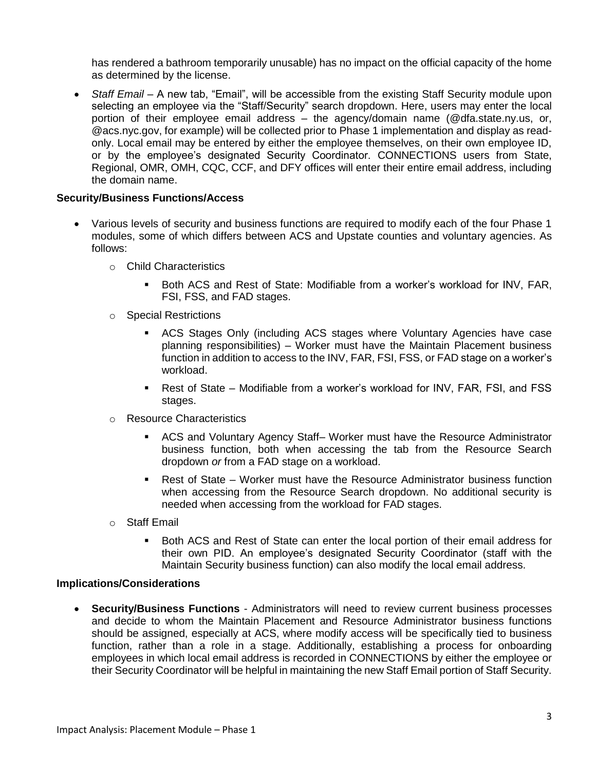has rendered a bathroom temporarily unusable) has no impact on the official capacity of the home as determined by the license.

• Staff Email – A new tab, "Email", will be accessible from the existing Staff Security module upon selecting an employee via the "Staff/Security" search dropdown. Here, users may enter the local portion of their employee email address – the agency/domain name (@dfa.state.ny.us, or, @acs.nyc.gov, for example) will be collected prior to Phase 1 implementation and display as readonly. Local email may be entered by either the employee themselves, on their own employee ID, or by the employee's designated Security Coordinator. CONNECTIONS users from State, Regional, OMR, OMH, CQC, CCF, and DFY offices will enter their entire email address, including the domain name.

### **Security/Business Functions/Access**

- Various levels of security and business functions are required to modify each of the four Phase 1 modules, some of which differs between ACS and Upstate counties and voluntary agencies. As follows:
	- o Child Characteristics
		- Both ACS and Rest of State: Modifiable from a worker's workload for INV, FAR, FSI, FSS, and FAD stages.
	- o Special Restrictions
		- ACS Stages Only (including ACS stages where Voluntary Agencies have case planning responsibilities) – Worker must have the Maintain Placement business function in addition to access to the INV, FAR, FSI, FSS, or FAD stage on a worker's workload.
		- Rest of State Modifiable from a worker's workload for INV, FAR, FSI, and FSS stages.
	- o Resource Characteristics
		- ACS and Voluntary Agency Staff– Worker must have the Resource Administrator business function, both when accessing the tab from the Resource Search dropdown *or* from a FAD stage on a workload.
		- Rest of State Worker must have the Resource Administrator business function when accessing from the Resource Search dropdown. No additional security is needed when accessing from the workload for FAD stages.
	- o Staff Email
		- Both ACS and Rest of State can enter the local portion of their email address for their own PID. An employee's designated Security Coordinator (staff with the Maintain Security business function) can also modify the local email address.

#### **Implications/Considerations**

 **Security/Business Functions** - Administrators will need to review current business processes and decide to whom the Maintain Placement and Resource Administrator business functions should be assigned, especially at ACS, where modify access will be specifically tied to business function, rather than a role in a stage. Additionally, establishing a process for onboarding employees in which local email address is recorded in CONNECTIONS by either the employee or their Security Coordinator will be helpful in maintaining the new Staff Email portion of Staff Security.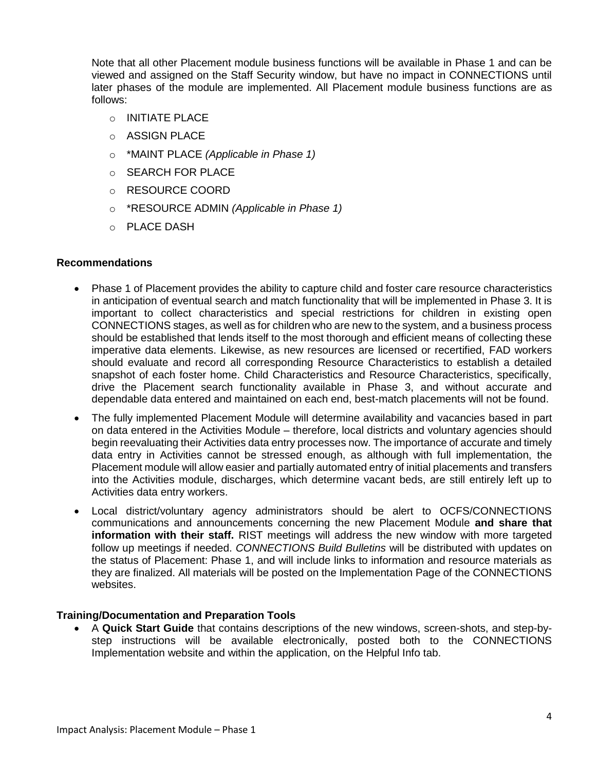Note that all other Placement module business functions will be available in Phase 1 and can be viewed and assigned on the Staff Security window, but have no impact in CONNECTIONS until later phases of the module are implemented. All Placement module business functions are as follows:

- o INITIATE PLACE
- o ASSIGN PLACE
- o \*MAINT PLACE *(Applicable in Phase 1)*
- o SEARCH FOR PLACE
- o RESOURCE COORD
- o \*RESOURCE ADMIN *(Applicable in Phase 1)*
- o PLACE DASH

### **Recommendations**

- Phase 1 of Placement provides the ability to capture child and foster care resource characteristics in anticipation of eventual search and match functionality that will be implemented in Phase 3. It is important to collect characteristics and special restrictions for children in existing open CONNECTIONS stages, as well as for children who are new to the system, and a business process should be established that lends itself to the most thorough and efficient means of collecting these imperative data elements. Likewise, as new resources are licensed or recertified, FAD workers should evaluate and record all corresponding Resource Characteristics to establish a detailed snapshot of each foster home. Child Characteristics and Resource Characteristics, specifically, drive the Placement search functionality available in Phase 3, and without accurate and dependable data entered and maintained on each end, best-match placements will not be found.
- The fully implemented Placement Module will determine availability and vacancies based in part on data entered in the Activities Module – therefore, local districts and voluntary agencies should begin reevaluating their Activities data entry processes now. The importance of accurate and timely data entry in Activities cannot be stressed enough, as although with full implementation, the Placement module will allow easier and partially automated entry of initial placements and transfers into the Activities module, discharges, which determine vacant beds, are still entirely left up to Activities data entry workers.
- Local district/voluntary agency administrators should be alert to OCFS/CONNECTIONS communications and announcements concerning the new Placement Module **and share that information with their staff.** RIST meetings will address the new window with more targeted follow up meetings if needed. *CONNECTIONS Build Bulletins* will be distributed with updates on the status of Placement: Phase 1, and will include links to information and resource materials as they are finalized. All materials will be posted on the Implementation Page of the CONNECTIONS websites.

#### **Training/Documentation and Preparation Tools**

 A **Quick Start Guide** that contains descriptions of the new windows, screen-shots, and step-bystep instructions will be available electronically, posted both to the CONNECTIONS Implementation website and within the application, on the Helpful Info tab.